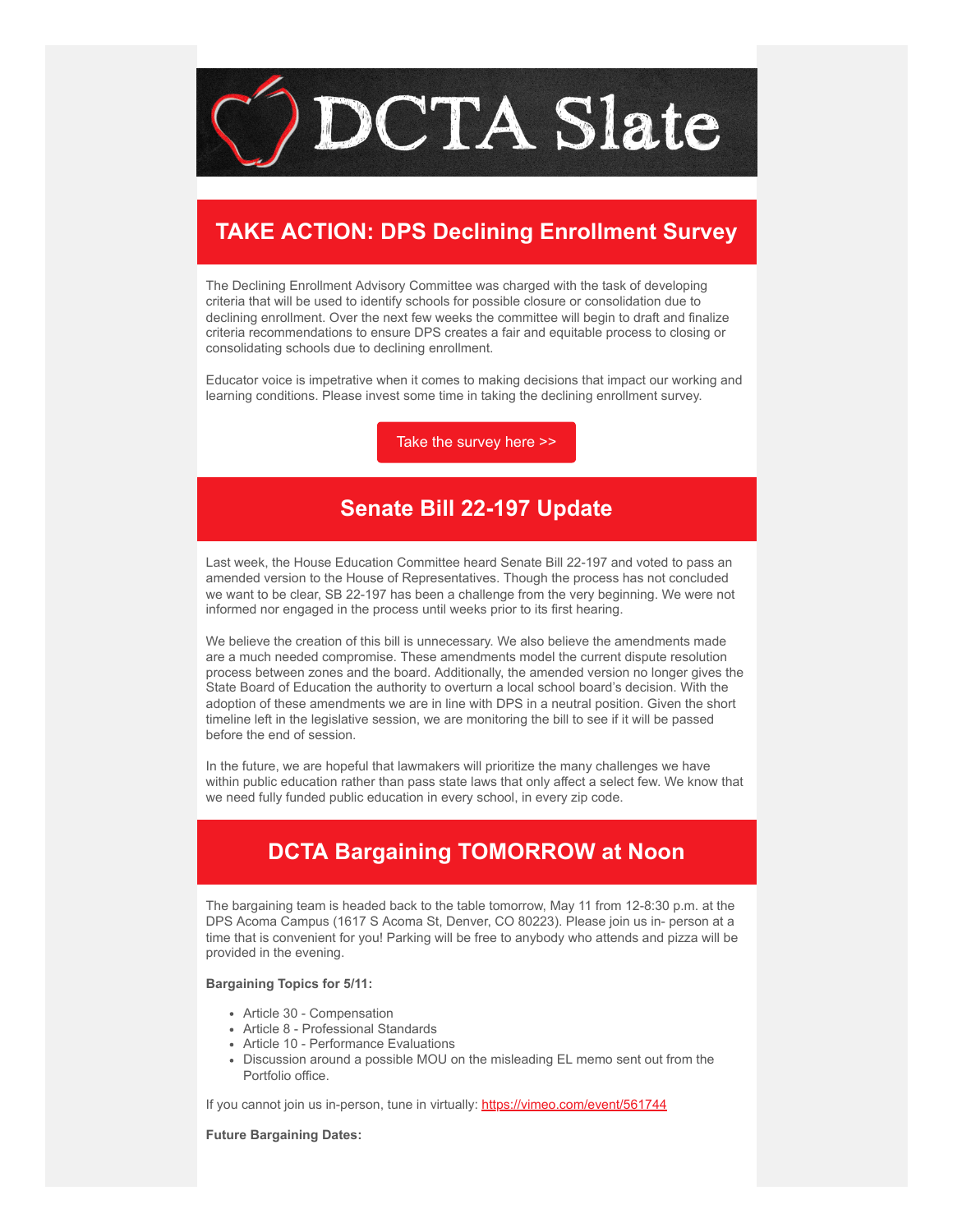

## **TAKE ACTION: DPS Declining Enrollment Survey**

The Declining Enrollment Advisory Committee was charged with the task of developing criteria that will be used to identify schools for possible closure or consolidation due to declining enrollment. Over the next few weeks the committee will begin to draft and finalize criteria recommendations to ensure DPS creates a fair and equitable process to closing or consolidating schools due to declining enrollment.

Educator voice is impetrative when it comes to making decisions that impact our working and learning conditions. Please invest some time in taking the declining enrollment survey.

[Take the survey here >>](https://docs.google.com/forms/d/e/1FAIpQLSctGpmrZ1lpYNsItmtJyayfgJON6QEfHV7BDFgpoudbwA1D1Q/viewform?emci=420a0764-9ad0-ec11-b656-281878b8c32f&emdi=ea000000-0000-0000-0000-000000000001&ceid={{ContactsEmailID}})

#### **Senate Bill 22-197 Update**

Last week, the House Education Committee heard Senate Bill 22-197 and voted to pass an amended version to the House of Representatives. Though the process has not concluded we want to be clear, SB 22-197 has been a challenge from the very beginning. We were not informed nor engaged in the process until weeks prior to its first hearing.

We believe the creation of this bill is unnecessary. We also believe the amendments made are a much needed compromise. These amendments model the current dispute resolution process between zones and the board. Additionally, the amended version no longer gives the State Board of Education the authority to overturn a local school board's decision. With the adoption of these amendments we are in line with DPS in a neutral position. Given the short timeline left in the legislative session, we are monitoring the bill to see if it will be passed before the end of session.

In the future, we are hopeful that lawmakers will prioritize the many challenges we have within public education rather than pass state laws that only affect a select few. We know that we need fully funded public education in every school, in every zip code.

# **DCTA Bargaining TOMORROW at Noon**

The bargaining team is headed back to the table tomorrow, May 11 from 12-8:30 p.m. at the DPS Acoma Campus (1617 S Acoma St, Denver, CO 80223). Please join us in- person at a time that is convenient for you! Parking will be free to anybody who attends and pizza will be provided in the evening.

#### **Bargaining Topics for 5/11:**

- Article 30 Compensation
- Article 8 Professional Standards
- Article 10 Performance Evaluations
- Discussion around a possible MOU on the misleading EL memo sent out from the Portfolio office.

If you cannot join us in-person, tune in virtually: [https://vimeo.com/event/561744](https://vimeo.com/event/561744?emci=420a0764-9ad0-ec11-b656-281878b8c32f&emdi=ea000000-0000-0000-0000-000000000001&ceid={{ContactsEmailID}})

**Future Bargaining Dates:**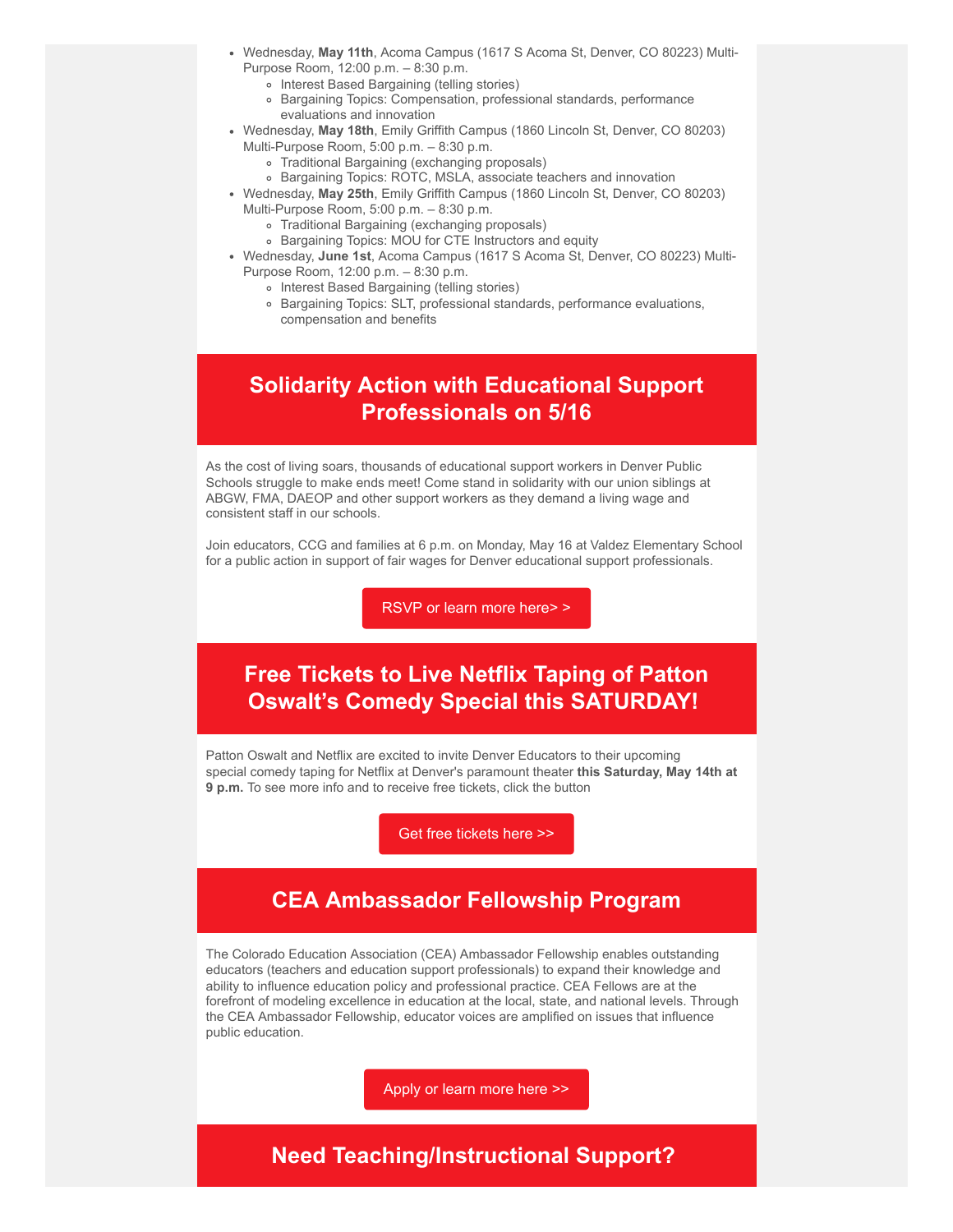- Wednesday, **May 11th**, Acoma Campus (1617 S Acoma St, Denver, CO 80223) Multi-
	- Purpose Room, 12:00 p.m. 8:30 p.m.
		- o Interest Based Bargaining (telling stories)
		- Bargaining Topics: Compensation, professional standards, performance evaluations and innovation
- Wednesday, **May 18th**, Emily Griffith Campus (1860 Lincoln St, Denver, CO 80203)
	- Multi-Purpose Room, 5:00 p.m. 8:30 p.m.
		- Traditional Bargaining (exchanging proposals)
		- Bargaining Topics: ROTC, MSLA, associate teachers and innovation
- Wednesday, **May 25th**, Emily Griffith Campus (1860 Lincoln St, Denver, CO 80203)
	- Multi-Purpose Room, 5:00 p.m. 8:30 p.m.
		- Traditional Bargaining (exchanging proposals)
		- Bargaining Topics: MOU for CTE Instructors and equity
- Wednesday, **June 1st**, Acoma Campus (1617 S Acoma St, Denver, CO 80223) Multi-Purpose Room, 12:00 p.m. – 8:30 p.m.
	- o Interest Based Bargaining (telling stories)
	- Bargaining Topics: SLT, professional standards, performance evaluations, compensation and benefits

### **Solidarity Action with Educational Support Professionals on 5/16**

As the cost of living soars, thousands of educational support workers in Denver Public Schools struggle to make ends meet! Come stand in solidarity with our union siblings at ABGW, FMA, DAEOP and other support workers as they demand a living wage and consistent staff in our schools.

Join educators, CCG and families at 6 p.m. on Monday, May 16 at Valdez Elementary School for a public action in support of fair wages for Denver educational support professionals.

[RSVP or learn more here> >](https://www.cocommongood.org/esp_living_wage?emci=420a0764-9ad0-ec11-b656-281878b8c32f&emdi=ea000000-0000-0000-0000-000000000001&ceid={{ContactsEmailID}})

## **Free Tickets to Live Netflix Taping of Patton Oswalt's Comedy Special this SATURDAY!**

Patton Oswalt and Netflix are excited to invite Denver Educators to their upcoming special comedy taping for Netflix at Denver's paramount theater **this Saturday, May 14th at 9 p.m.** To see more info and to receive free tickets, click the button

[Get free tickets here >>](https://www.theblacklistnyc.com/pattondenver?emci=420a0764-9ad0-ec11-b656-281878b8c32f&emdi=ea000000-0000-0000-0000-000000000001&ceid={{ContactsEmailID}})

# **CEA Ambassador Fellowship Program**

The Colorado Education Association (CEA) Ambassador Fellowship enables outstanding educators (teachers and education support professionals) to expand their knowledge and ability to influence education policy and professional practice. CEA Fellows are at the forefront of modeling excellence in education at the local, state, and national levels. Through the CEA Ambassador Fellowship, educator voices are amplified on issues that influence public education.

[Apply or learn more here >>](https://form.jotform.com/220968967844173?emci=420a0764-9ad0-ec11-b656-281878b8c32f&emdi=ea000000-0000-0000-0000-000000000001&ceid={{ContactsEmailID}})

### **Need Teaching/Instructional Support?**